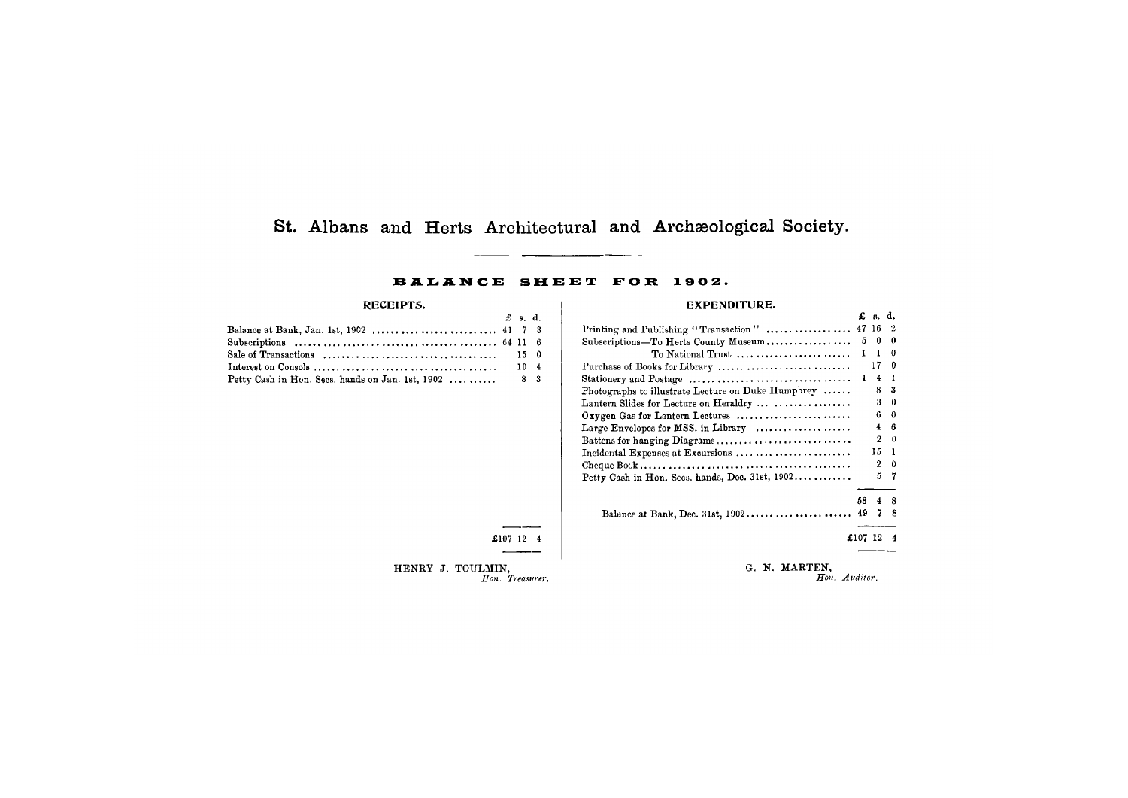# **St, Albans and Herts Architectural and Archaeological Society.**

### BALANCE SHEET FOR 1902.

#### **RECEIPTS.**

HENRY J. TOULMIN, *Hon. Treasurer.* 

<span id="page-0-0"></span>

| -----------                                           |                |  |
|-------------------------------------------------------|----------------|--|
|                                                       | $\pounds$ s.d. |  |
|                                                       |                |  |
|                                                       |                |  |
|                                                       |                |  |
|                                                       |                |  |
| Petty Cash in Hon. Secs. hands on Jan. 1st, 1902  8 3 |                |  |

£107 12 4

## **EXPENDITURE.**

| Printing and Publishing "Transaction"  47 16       |                | - 2          |
|----------------------------------------------------|----------------|--------------|
| Subscriptions-To Herts County Museum               | $5\quad 0$     | $\mathbf{0}$ |
| To National Trust $1 \quad 1$                      |                | -0           |
|                                                    | 170            |              |
|                                                    | $4 \quad 1$    |              |
| Photographs to illustrate Lecture on Duke Humphrey |                | 83           |
|                                                    |                | $3\quad 0$   |
| Oxygen Gas for Lantern Lectures                    |                | 60           |
| Large Envelopes for MSS. in Library                | $\overline{4}$ | - 6          |
| Battens for hanging Diagrams                       |                | $2 \quad 0$  |
| Incidental Expenses at Excursions                  | 15 1           |              |
|                                                    |                | $2 \quad 0$  |
| Petty Cash in Hon. Secs. hands, Dec. 31st, 1902    | Ь              | -7           |

|    | £            | 8.                      | d.                    |
|----|--------------|-------------------------|-----------------------|
|    | 47           | 16                      | $\ddot{ }$            |
|    | 5            | 0                       | $\boldsymbol{\theta}$ |
| ֦֘ | $\mathbf{I}$ | ı                       | 0                     |
| ֘֒ |              | 17                      | 0                     |
| ,  | ı            | $\overline{4}$          | l                     |
| ,  |              | 8                       | 3                     |
| ,  |              | 3                       | 0                     |
| ,  |              | 6                       | 0                     |
| ,  |              | $\overline{\mathbf{4}}$ | 6                     |
|    |              | $\overline{2}$          | $\boldsymbol{0}$      |
| ,  |              | 15                      | ı                     |
| 1  |              | $\overline{2}$          | 0                     |
|    |              | 5                       | 7                     |
|    |              |                         |                       |
|    | 58           | 4                       | 8                     |
|    | 49           | 7                       | 8                     |
|    | £107         | 12                      | 4                     |

Balance at Bank, Dec. 31st, 1902 49 7 8

G. N. MARTEN, *Hon. Auditor.*